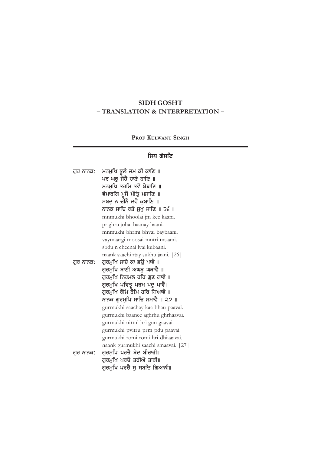# **SIDH GOSHT – TRANSLATION & INTERPRETATION –**

# **PROF KULWANT SINGH**

# ਸਿਧ ਗੋਸਟਿ

 $=$ 

| ਗੁਰ ਨਾਨਕ: | ਮਨਮੁਖਿ ਭੁਲੈ ਜਮ ਕੀ ਕਾਣਿ ॥            |
|-----------|-------------------------------------|
|           | ਪਰ ਘਰੂ ਜੋਹੈ ਹਾਣੇ ਹਾਣਿ ॥             |
|           | ਮਨਮਖਿ ਭਰਮਿ ਭਵੈ ਬੇਬਾਣਿ ॥             |
|           | ਵੇਮਾਰਗਿ ਮੁਸੈ ਮੰਤ੍ਰਿ ਮਸਾਣਿ ॥         |
|           | ਸਬਦੁ ਨ ਚੀਨੈ ਲਵੈ ਕੁਬਾਣਿ ॥            |
|           | ਨਾਨਕ ਸਾਚਿ ਰਤੇ ਸੁਖੁ ਜਾਣਿ ॥ ੨੬ ॥      |
|           | mnmukhi bhoolai jm kee kaani.       |
|           | pr ghru johai haanay haani.         |
|           | mnmukhi bhrmi bhvai baybaani.       |
|           | vaymaargi moosai mntri msaani.      |
|           | sbdu n cheenai lvai kubaani.        |
|           | naank saachi rtay sukhu jaani. [26] |
| ਗਰ ਨਾਨਕ:  | ਗੁਰਮੁਖਿ ਸਾਚੇ ਕਾ ਭਉ ਪਾਵੈ ॥           |
|           | ਗੁਰਮੁਖਿ ਬਾਣੀ ਅਘ <u>ੜ</u> ਘੜਾਵੈ ॥    |
|           | ਗੁਰਮੁਖਿ ਨਿਰਮਲ ਹਰਿ ਗੁਣ ਗਾਵੈ ॥        |
|           | ਗੁਰਮੁਖਿ ਪਵਿਤ ਪਰਮ ਪਦੂ ਪਾਵੈ॥          |
|           | ਗੁਰਮੁਖਿ ਰੋਮਿ ਰੋਮਿ ਹਰਿ ਧਿਆਵੈ ॥       |
|           | ਨਾਨਕ ਗੁਰਮੁਖਿ ਸਾਚਿ ਸਮਾਵੈ ॥ ੨੭ ॥      |
|           | gurmukhi saachay kaa bhau paavai.   |
|           | gurmukhi baanee aghrhu ghrhaavai.   |
|           | gurmukhi nirml hri gun gaavai.      |
|           | gurmukhi pvitru prm pdu paavai.     |
|           | gurmukhi romi romi hri dhiaaavai.   |
|           | naank gurmukhi saachi smaavai. [27] |
| ਗਰ ਨਾਨਕ:  | ਗੁਰਮੁਖਿ ਪਰਚੈ ਬੇਦ ਬੀਚਾਰੀ॥            |
|           | ਗਰਮਖਿ ਪਰਚੈ ਤਰੀਐ ਤਾਰੀ॥               |
|           | ਗੁਰਮੁਖਿ ਪਰਚੈ ਸੂ ਸਬਦਿ ਗਿਆਨੀ॥         |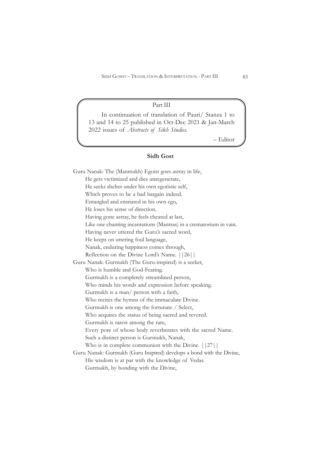### Part III

In continuation of translation of Pauri/ Stanza 1 to 13 and 14 to 25 published in Oct-Dec 2021 & Jan-March 2022 issues of *Abstracts of Sikh Studies*.

– Editor

### **Sidh Gost**

Guru Nanak: The (Manmukh) Egoist goes astray in life, He gets victimized and dies unregenerate, He seeks shelter under his own egotistic self, Which proves to be a bad bargain indeed. Entangled and ensnared in his own ego, He loses his sense of direction. Having gone astray, he feels cheated at last, Like one chanting incantations (Mantras) in a crematorium in vain. Having never uttered the Guru's sacred word, He keeps on uttering foul language, Nanak, enduring happiness comes through, Reflection on the Divine Lord's Name. ||26|| Guru Nanak: Gurmukh (The Guru-inspired) is a seeker, Who is humble and God-Fearing. Gurmukh is a completely streamlined person, Who minds his words and expression before speaking. Gurmukh is a man/ person with a faith, Who recites the hymns of the immaculate Divine. Gurmukh is one among the fortunate / Select, Who acquires the status of being sacred and revered. Gurmukh is rarest among the rare, Every pore of whose body reverberates with the sacred Name. Such a distinct person is Gurmukh, Nanak, Who is in complete communion with the Divine.  $||27||$ Guru Nanak: Gurmukh (Guru Inspired) develops a bond with the Divine, His wisdom is at par with the knowledge of Vedas. Gurmukh, by bonding with the Divine,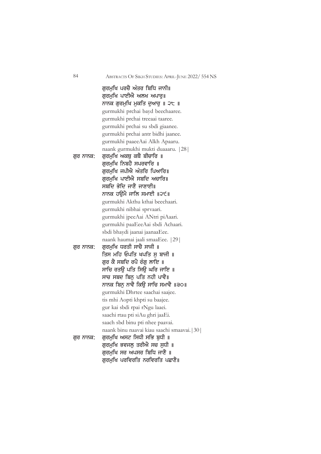ਗਰਮਖਿ ਪਰਚੈ ਅੰਤਰ ਬਿਧਿ ਜਾਨੀ॥ ਗਰਮਖਿ ਪਾਈਐ ਅਲਖ ਅਪਾਰ॥ ਨਾਨਕ ਗਰਮਖਿ ਮਕਤਿ ਦਆਰ ॥ ੨੮ ॥ gurmukhi prchai bayd beechaaree. gurmukhi prchai treeaai taaree. gurmukhi prchai su sbdi giaanee. gurmukhi prchai antr bidhi jaanee. gurmukhi paaeeAai Alkh Apaaru. naank gurmukhi mukti duaaaru. |28| ਗਰ ਨਾਨਕ: ਗਰਮਖਿ ਅਕਥ ਕਥੈ ਬੀਚਾਰਿ ॥ ਗਰਮਖਿ ਨਿਬਹੈ ਸਪਰਵਾਰਿ ॥ ਗਰਮਖਿ ਜਪੀਐ ਅੰਤਰਿ ਪਿਆਰਿ॥ ਗਰਮਖਿ ਪਾਈਐ ਸਬਦਿ ਅਚਾਰਿ॥ ਸਬਦਿ ਭੇਦਿ ਜਾਣੈ ਜਾਣਾਈ॥ ਨਾਨਕ ਹੳਮੈ ਜਾਲਿ ਸਮਾਈ ॥੨੯॥ gurmukhi Akthu kthai beechaari. gurmukhi nibhai sprvaari. gurmukhi jpeeAai ANtri piAaari. gurmukhi paaEeeAai sbdi Achaari. sbdi bhaydi jaanai jaanaaEee. naank haumai jaali smaaEee. |29| ਗਰ ਨਾਨਕ: ਗਰਮਖਿ ਧਰਤੀ ਸਾਚੈ ਸਾਜੀ ॥ ਤਿਸ ਮਹਿ ਓਪਤਿ ਖਪਤਿ ਸ ਬਾਜੀ ॥ ਗਰ ਕੈ ਸਬਦਿ ਰਪੈ ਰੰਗ ਲਾਇ ॥ ਸਾਚਿ ਰਤੳ ਪਤਿ ਸਿੳ ਘਰਿ ਜਾਇ ॥ ਸਾਚ ਸਬਦ ਬਿਨ ਪਤਿ ਨਹੀ ਪਾਵੈ॥ ਨਾਨਕ ਬਿਨ ਨਾਵੈ ਕਿੳ ਸਾਚਿ ਸਮਾਵੈ ॥੩੦॥ gurmukhi Dhrtee saachai saajee. tis mhi Aopti khpti su baajee. gur kai sbdi rpai rNgu laaei. saachi rtau pti siAu ghri jaaEi. saach sbd binu pti nhee paavai. naank binu naavai kiau saachi smaavai.|30| ਗਰ ਨਾਨਕ: ਗਰਮਖਿ ਅਸਟ ਸਿਧੀ ਸਭਿ ਬਧੀ ॥ ਗਰਮਖਿ ਭਵਜਲ ਤਰੀਐ ਸਚ ਸਧੀ ॥ ਗਰਮਖਿ ਸਰ ਅਪਸਰ ਬਿਧਿ ਜਾਣੈ ॥ ਗਰਮਖਿ ਪਰਵਿਰਤਿ ਨਰਵਿਰਤਿ ਪਛਾਣੈ॥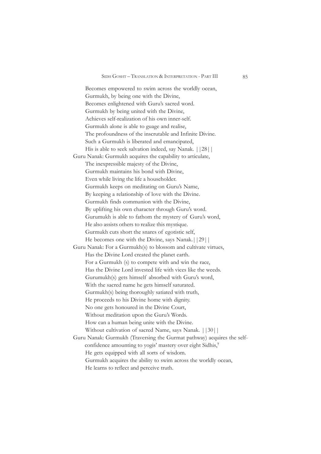Becomes empowered to swim across the worldly ocean, Gurmukh, by being one with the Divine, Becomes enlightened with Guru's sacred word. Gurmukh by being united with the Divine, Achieves self-realization of his own inner-self. Gurmukh alone is able to guage and realise, The profoundness of the inscrutable and Infinite Divine. Such a Gurmukh is liberated and emancipated, His is able to seek salvation indeed, say Nanak. ||28|| Guru Nanak: Gurmukh acquires the capability to articulate, The inexpressible majesty of the Divine, Gurmukh maintains his bond with Divine, Even while living the life a householder. Gurmukh keeps on meditating on Guru's Name, By keeping a relationship of love with the Divine. Gurmukh finds communion with the Divine, By uplifting his own character through Guru's word. Gurumukh is able to fathom the mystery of Guru's word, He also assists others to realize this mystique. Gurmukh cuts short the snares of egotistic self, He becomes one with the Divine, says Nanak.||29|| Guru Nanak: For a Gurmukh(s) to blossom and cultivate virtues, Has the Divine Lord created the planet earth. For a Gurmukh (s) to compete with and win the race, Has the Divine Lord invested life with vices like the weeds. Gurumukh(s) gets himself absorbed with Guru's word, With the sacred name he gets himself saturated. Gurmukh(s) being thoroughly satiated with truth, He proceeds to his Divine home with dignity. No one gets honoured in the Divine Court, Without meditation upon the Guru's Words. How can a human being unite with the Divine. Without cultivation of sacred Name, says Nanak. | | 30 | | Guru Nanak: Gurmukh (Traversing the Gurmat pathway) acquires the selfconfidence amounting to yogis' mastery over eight Sidhis,**<sup>7</sup>** He gets equipped with all sorts of wisdom. Gurmukh acquires the ability to swim across the worldly ocean, He learns to reflect and perceive truth.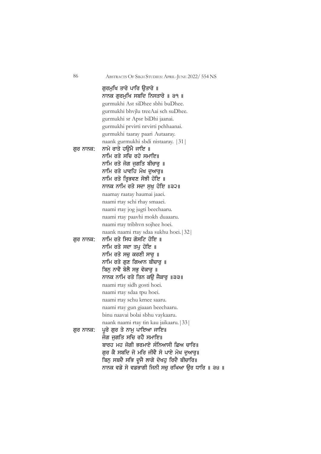ਗਰਮਖਿ ਤਾਰੇ ਪਾਰਿ ੳਤਾਰੇ ॥ ਨਾਨਕ ਗੁਰਮੁਖਿ ਸਬਦਿ ਨਿਸਤਾਰੇ ॥ ੩੧ ॥ gurmukhi Ast siDhee sbhi buDhee. gurmukhi bhvjlu treeAai sch suDhee. gurmukhi sr Apsr biDhi jaanai. gurmukhi prvirti nrvirti pchhaanai. gurmukhi taaray paari Autaaray. naank gurmukhi sbdi nistaaray. |31| ਗਰ ਨਾਨਕ: ਨਾਮੇ ਰਾਤੇ ਹੳਮੈ ਜਾਇ ॥ ਨਾਮਿ ਰਤੇ ਸਚਿ ਰਹੇ ਸਮਾਇ॥ ਨਾਮਿ ਰਤੇ ਜੋਗ ਜਗਤਿ ਬੀਚਾਰ ॥ ਨਾਮਿ ਰਤੇ ਪਾਵਹਿ ਮੋਖ ਦੁਆਰੁ॥ ਨਾਮਿ ਰਤੇ ਤਿਭਵਣ ਸੋਝੀ ਹੋਇ ॥ ਨਾਨਕ ਨਾਮਿ ਰਤੇ ਸਦਾ ਸਖ ਹੋਇ ॥੩੨॥ naamay raatay haumai jaaei. naami rtay schi rhay smaaei. naami rtay jog jugti beechaaru. naami rtay paavhi mokh duaaaru. naami rtay tribhvn sojhee hoei. naank naami rtay sdaa sukhu hoei.|32| ਗਰ ਨਾਨਕ: ਨਾਮਿ ਰਤੇ ਸਿਧ ਗੋਸਟਿ ਹੋਇ ॥ ਨਾਮਿ ਰਤੇ ਸਦਾ ਤਪ ਹੋਇ ॥ ਨਾਮਿ ਰਤੇ ਸਚ ਕਰਣੀ ਸਾਰ ॥ ਨਾਮਿ ਰਤੇ ਗਣ ਗਿਆਨ ਬੀਚਾਰ ॥ ਬਿਨ ਨਾਵੈ ਬੋਲੈ ਸਭ ਵੇਕਾਰ ॥ ਨਾਨਕ ਨਾਮਿ ਰਤੇ ਤਿਨ ਕੳ ਜੈਕਾਰ ॥੩੩॥ naami rtay sidh gosti hoei. naami rtay sdaa tpu hoei. naami rtay schu krnee saaru. naami rtay gun giaaan beechaaru. binu naavai bolai sbhu vaykaaru. naank naami rtay tin kau jaikaaru.|33| ਗਰ ਨਾਨਕ: ਪਰੇ ਗਰ ਤੇ ਨਾਮ ਪਾਇਆ ਜਾਇ॥ ਜੋਗ ਜਗਤਿ ਸਚਿ ਰਹੈ ਸਮਾਇ॥ ਬਾਰਹ ਮਹ ਜੋਗੀ ਭਰਮਾਏ ਸੰਨਿਆਸੀ ਛਿਅ ਚਾਰਿ॥ ਗਰ ਕੈ ਸਬਦਿ ਜੋ ਮਰਿ ਜੀਵੈ ਸੋ ਪਾਏ ਮੋਖ ਦਆਰ॥ ਬਿਨੁ ਸਬਦੈ ਸਭਿ ਦੂਜੈ ਲਾਗੇ ਦੇਖਹੁ ਰਿਦੈ ਬੀਚਾਰਿ॥ ਨਾਨਕ ਵਡੇ ਸੇ ਵਡਭਾਗੀ ਜਿਨੀ ਸਚ ਰਖਿਆ ੳਰ ਧਾਰਿ ॥ ੩੪ ॥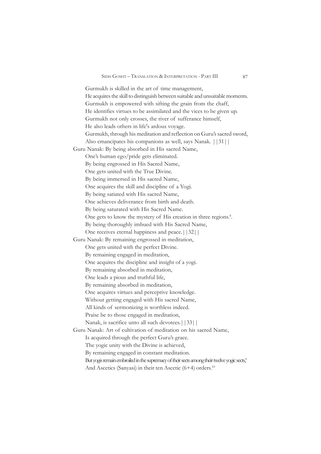Gurmukh is skilled in the art of time management, He acquires the skill to distinguish between suitable and unsuitable moments. Gurmukh is empowered with sifting the grain from the chaff, He identifies virtues to be assimilated and the vices to be given up. Gurmukh not only crosses, the river of sufferance himself, He also leads others in life's ardous voyage. Gurmukh, through his meditation and reflection on Guru's sacred sword, Also emancipates his companions as well, says Nanak. ||31|| Guru Nanak: By being absorbed in His sacred Name, One's human ego/pride gets eliminated. By being engrossed in His Sacred Name, One gets united with the True Divine. By being immersed in His sacred Name, One acquires the skill and discipline of a Yogi. By being satiated with His sacred Name, One achieves deliverance from birth and death. By being saturated with His Sacred Name. One gets to know the mystery of His creation in three regions.<sup>8</sup>. By being thoroughly imbued with His Sacred Name, One receives eternal happiness and peace.||32|| Guru Nanak: By remaining engrossed in meditation, One gets united with the perfect Divine. By remaining engaged in meditation, One acquires the discipline and insight of a yogi. By remaining absorbed in meditation, One leads a pious and truthful life, By remaining absorbed in meditation, One acquires virtues and perceptive knowledge. Without getting engaged with His sacred Name, All kinds of sermonizing is worthless indeed. Praise be to those engaged in meditation, Nanak, is sacrifice unto all such devotees.||33|| Guru Nanak: Art of cultivation of meditation on his sacred Name, Is acquired through the perfect Guru's grace. The yogic unity with the Divine is achieved, By remaining engaged in constant meditation. But yogis remain embroiled in the supremacy of their sects among their twelve yogic sects,<sup>9</sup> And Ascetics (Sanyasi) in their ten Ascetic  $(6+4)$  orders.<sup>10</sup>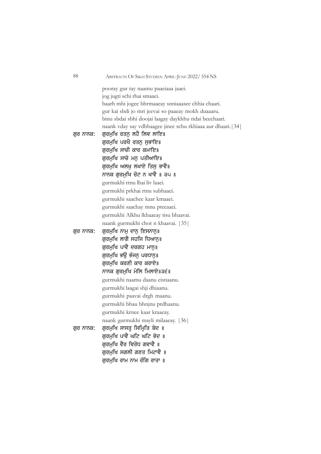| 88        | ABSTRACTS OF SIKH STUDIES: APRIL-JUNE 2022/554 NS            |
|-----------|--------------------------------------------------------------|
|           | pooray gur tay naamu paaeiaaa jaaei.                         |
|           | jog jugti schi rhai smaaei.                                  |
|           | baarh mhi jogee bhrmaaeay snniaaasee chhia chaari.           |
|           | gur kai sbdi jo mri jeevai so paaeay mokh duaaaru.           |
|           | binu sbdai sbhi doojai laagay daykhhu ridai beechaari.       |
|           | naank vday say vdbhaagee jinee schu rkhiaaa aur dhaari. [34] |
| ਗੁਰ ਨਾਨਕ: | ਗੁਰਮੁਖਿ ਰਤਨੁ ਲਹੈ ਲਿਵ ਲਾਇ॥                                    |
|           | ਗੁਰਮੁਖਿ ਪਰਖੈ ਰਤਨੁ ਸੁਭਾਇ॥                                     |
|           | ਗੁਰਮੁਖਿ ਸਾਚੀ ਕਾਰ ਕਮਾਇ॥                                       |
|           | ਗੁਰਮੁਖਿ ਸਾਚੇ ਮਨੁ ਪਤੀਆਇ॥                                      |
|           | ਗਰਮਖਿ ਅਲਖ ਲਖਾਏ ਤਿਸ ਭਾਵੈ॥                                     |
|           | ਨਾਨਕ ਗੁਰਮੁਖਿ ਚੋਟ ਨ ਖਾਵੈ ॥ ੩੫ ॥                               |
|           | gurmukhi rtnu lhai liv laaei.                                |
|           | gurmukhi prkhai rtnu subhaaei.                               |
|           | gurmukhi saachee kaar kmaaei.                                |
|           | gurmukhi saachay mnu pteeaaei.                               |
|           | gurmukhi Alkhu lkhaaeay tisu bhaavai.                        |
|           | naank gurmukhi chot n khaavai. [35]                          |
| ਗੁਰ ਨਾਨਕ: | ਗੁਰਮੁਖਿ ਨਾਮੁ ਦਾਨੁ ਇਸਨਾਨੁ॥                                    |
|           | ਗੁਰਮੁਖਿ ਲਾਗੈ ਸਹਜਿ ਧਿਆਨੁ॥                                     |
|           | ਗੁਰਮੁਖਿ ਪਾਵੈ ਦਰਗਹ ਮਾਨੁ॥                                      |
|           | ਗੁਰਮੁਖਿ ਭਉ ਭੰਜਨੂ ਪਰਧਾਨੂ॥                                     |
|           | ਗਰਮਖਿ ਕਰਣੀ ਕਾਰ ਕਰਾਏ॥                                         |
|           | ਨਾਨਕ ਗੁਰਮੁਖਿ ਮੇਲਿ ਮਿਲਾਏ॥੩੬॥                                  |
|           | gurmukhi naamu daanu eisnaanu.                               |
|           | gurmukhi laagai shji dhiaanu.                                |
|           | gurmukhi paavai drgh maanu.                                  |
|           | gurmukhi bhau bhnjnu prdhaanu.                               |
|           | gurmukhi krnee kaar kraaeay.                                 |
|           | naank gurmukhi mayli milaaeay. [36]                          |
| ਗੁਰ ਨਾਨਕ: | ਗੁਰਮੁਖਿ ਸਾਸਤ ਸਿਮਿਤਿ ਬੇਦ ॥                                    |
|           | ਗਰਮਖਿ ਪਾਵੈ ਘਟਿ ਘਟਿ ਭੇਦ ॥                                     |
|           | ਗੁਰਮੁਖਿ ਵੈਰ ਵਿਰੋਧ ਗਵਾਵੈ ॥                                    |
|           | ਗਰਮਖਿ ਸਗਲੀ ਗਣਤ ਮਿਟਾਵੈ ॥                                      |
|           | ਗੁਰਮੁਖਿ ਰਾਮ ਨਾਮ ਰੰਗਿ ਰਾਤਾ ॥                                  |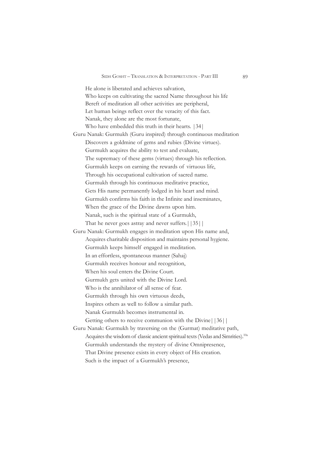He alone is liberated and achieves salvation, Who keeps on cultivating the sacred Name throughout his life Bereft of meditation all other activities are peripheral, Let human beings reflect over the veracity of this fact. Nanak, they alone are the most fortunate, Who have embedded this truth in their hearts. |34| Guru Nanak: Gurmukh (Guru inspired) through continuous meditation Discovers a goldmine of gems and rubies (Divine virtues). Gurmukh acquires the ability to test and evaluate, The supremacy of these gems (virtues) through his reflection. Gurmukh keeps on earning the rewards of virtuous life, Through his occupational cultivation of sacred name. Gurmukh through his continuous meditative practice, Gets His name permanently lodged in his heart and mind. Gurmukh confirms his faith in the Infinite and inseminates, When the grace of the Divine dawns upon him. Nanak, such is the spiritual state of a Gurmukh, That he never goes astray and never suffers.||35|| Guru Nanak: Gurmukh engages in meditation upon His name and, Acquires charitable disposition and maintains personal hygiene. Gurmukh keeps himself engaged in meditation. In an effortless, spontaneous manner (Sahaj) Gurmukh receives honour and recognition, When his soul enters the Divine Court. Gurmukh gets united with the Divine Lord. Who is the annihilator of all sense of fear. Gurmukh through his own virtuous deeds, Inspires others as well to follow a similar path. Nanak Gurmukh becomes instrumental in. Getting others to receive communion with the Divine||36|| Guru Nanak: Gurmukh by traversing on the (Gurmat) meditative path, Acquires the wisdom of classic ancient spiritual texts (Vedas and Simrities).<sup>10a</sup> Gurmukh understands the mystery of divine Omnipresence, That Divine presence exists in every object of His creation.

Such is the impact of a Gurmukh's presence,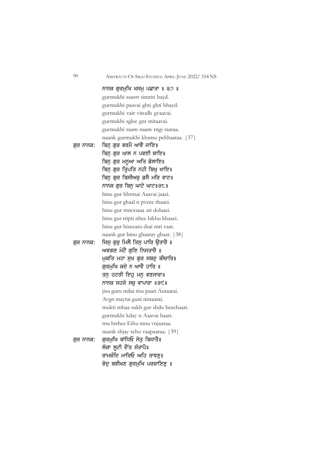|           | ਨਾਨਕ ਗੁਰਮੁਖਿ ਖਸਮੁ ਪਛਾਤਾ ॥ ੩੭ ॥       |
|-----------|--------------------------------------|
|           | gurmukhi saastr simriti bayd.        |
|           | gurmukhi paavai ghti ghti bhayd.     |
|           | gurmukhi vair virodh gvaavai.        |
|           | gurmukhi sglee gnt mitaavai.         |
|           | gurmukhi raam naam rngi raataa.      |
|           | naank gurmukhi khsmu pchhaataa. [37] |
| ਗੁਰ ਨਾਨਕ: | ਬਿਨੂ ਗੁਰ ਭਰਮੈ ਆਵੈ ਜਾਇ॥               |
|           | ਬਿਨ ਗਰ ਘਾਲ ਨ ਪਵਈ ਥਾਇ॥                |
|           | ਬਿਨੁ ਗੁਰ ਮਨੁਆ ਅਤਿ ਡੋਲਾਇ॥             |
|           | ਬਿਨੁ ਗੁਰ ਤ੍ਰਿਪਤਿ ਨਹੀ ਬਿਖੁ ਖਾਇ॥       |
|           | ਬਿਨੂ ਗੁਰ ਬਿਸੀਅਰੂ ਡਸੈ ਮਰਿ ਵਾਟ॥        |
|           | ਨਾਨਕ ਗੁਰ ਬਿਨੁ ਘਾਟੇ ਘਾਟ॥੩੮॥           |
|           | binu gur bhrmai Aaavai jaaei.        |
|           | binu gur ghaal n pveee thaaei.       |
|           | binu gur mnooaaa ati dolaaei.        |
|           | binu gur tripti nhee bikhu khaaei.   |
|           | binu gur biseearu dsai mri vaat.     |
|           | naank gur binu ghaatay ghaat. [38]   |
| ਗੁਰ ਨਾਨਕ: | ਜਿਸੂ ਗੁਰੂ ਮਿਲੈ ਤਿਸੂ ਪਾਰਿ ਉਤਾਰੈ ॥     |
|           | ਅਵਗਣ ਮੇਟੈ ਗਣਿ ਨਿਸਤਾਰੈ ॥              |
|           | ਮੁਕਤਿ ਮਹਾ ਸੁਖ ਗੁਰ ਸਬਦੂ ਬੀਚਾਰਿ॥       |
|           | ਗਰਮਖਿ ਕਦੇ ਨ ਆਵੈ ਹਾਰਿ ॥               |
|           | ਤਨੂ ਹਟੜੀ ਇਹੂ ਮਨੂ ਵਣਜਾਰਾ॥             |
|           | ਨਾਨਕ ਸਹਜੇ ਸਚੁ ਵਾਪਾਰਾ ॥੩੯॥            |
|           | jisu guru milai tisu paari Autaarai. |
|           | Avgn maytai guni nistaarai.          |
|           | mukti mhaa sukh gur sbdu beechaari.  |
|           | gurmukhi kday n Aaavai haari.        |
|           | tnu htrhee Eihu mnu vnjaaraa.        |
|           | naank shjay schu vaapaaraa.   39     |
| ਗੁਰ ਨਾਨਕ: | ਗੁਰਮੁਖਿ ਬਾਂਧਿਓ ਸੇਤੁ ਬਿਧਾਤੈ॥          |
|           | ਲੰਕਾ ਲੁਟੀ ਦੈਂਤ ਸੰਤਾਪੈ॥               |
|           | ਰਾਮਚੰਦਿ ਮਾਰਿਓ ਅਹਿ ਰਾਵਣ॥              |
|           | ਭੇਦੂ ਬਭੀਖਣ ਗੁਰਮੁਖਿ ਪਰਚਾਇਣੂ ॥         |
|           |                                      |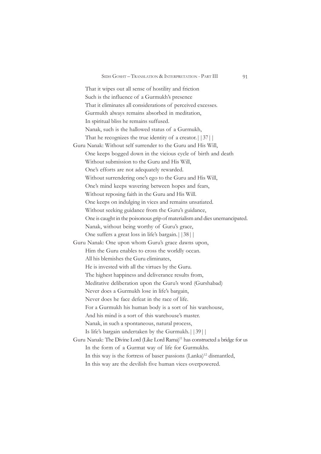That it wipes out all sense of hostility and friction Such is the influence of a Gurmukh's presence That it eliminates all considerations of perceived excesses. Gurmukh always remains absorbed in meditation, In spiritual bliss he remains suffused. Nanak, such is the hallowed status of a Gurmukh, That he recognizes the true identity of a creator.||37|| Guru Nanak: Without self surrender to the Guru and His Will, One keeps bogged down in the vicious cycle of birth and death Without submission to the Guru and His Will, One's efforts are not adequately rewarded. Without surrendering one's ego to the Guru and His Will, One's mind keeps wavering between hopes and fears, Without reposing faith in the Guru and His Will. One keeps on indulging in vices and remains unsatiated. Without seeking guidance from the Guru's guidance, One is caught in the poisonous grip of materialism and dies unemancipated. Nanak, without being worthy of Guru's grace, One suffers a great loss in life's bargain.||38|| Guru Nanak: One upon whom Guru's grace dawns upon, Him the Guru enables to cross the worldly occan. All his blemishes the Guru eliminates, He is invested with all the virtues by the Guru. The highest happiness and deliverance results from, Meditative deliberation upon the Guru's word (Gurshabad) Never does a Gurmukh lose in life's bargain, Never does he face defeat in the race of life. For a Gurmukh his human body is a sort of his warehouse, And his mind is a sort of this warehouse's master. Nanak, in such a spontaneous, natural process, Is life's bargain undertaken by the Gurmukh.||39|| Guru Nanak: The Divine Lord (Like Lord Rama)<sup>11</sup> has constructed a bridge for us In the form of a Gurmat way of life for Gurmukhs. In this way is the fortress of baser passions (Lanka)<sup>12</sup> dismantled,

In this way are the devilish five human vices overpowered.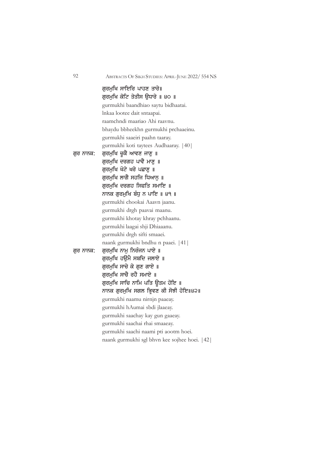ਗਰਮਖਿ ਸਾਇਰਿ ਪਾਹਣ ਤਾਰੇ॥ ਗਰਮਖਿ ਕੋਟਿ ਤੇਤੀਸ ੳਧਾਰੇ ॥ ੪੦ ॥ gurmukhi baandhiao saytu bidhaatai. lnkaa lootee dait sntaapai. raamchndi maariao Ahi raavnu. bhaydu bbheekhn gurmukhi prchaaeinu. gurmukhi saaeiri paahn taaray. gurmukhi koti taytees Audhaaray. |40| ਗੁਰ ਨਾਨਕ: ਗੁਰਮੁਖਿ ਚੁਕੈ ਆਵਣ ਜਾਣੂ ॥ ਗਰਮਖਿ ਦਰਗਹ ਪਾਵੈ ਮਾਣ ॥ ਗਰਮਖਿ ਖੋਟੇ ਖਰੇ ਪਛਾਣ ॥ ਗਰਮਖਿ ਲਾਗੈ ਸਹਜਿ ਧਿਆਨ ॥ ਗਰਮਖਿ ਦਰਗਹ ਸਿਫਤਿ ਸਮਾਇ ॥ ਨਾਨਕ ਗੁਰਮੁਖਿ ਬੰਧੂ ਨ ਪਾਇ ॥ ੪੧ ॥ gurmukhi chookai Aaavn jaanu. gurmukhi drgh paavai maanu. gurmukhi khotay khray pchhaanu. gurmukhi laagai shji Dhiaaanu. gurmukhi drgh sifti smaaei. naank gurmukhi bndhu n paaei. |41| ਗੁਰ ਨਾਨਕ: ਗੁਰਮੁਖਿ ਨਾਮੁ ਨਿਰੰਜਨ ਪਾਏ ॥ ਗਰਮਖਿ ਹੳਮੈ ਸਬਦਿ ਜਲਾਏ ॥ ਗੁਰਮੁਖਿ ਸਾਚੇ ਕੇ ਗੁਣ ਗਾਏ ॥ ਗਰਮਖਿ ਸਾਚੈ ਰਹੈ ਸਮਾਏ ॥ ਗਰਮਖਿ ਸਾਚਿ ਨਾਮਿ ਪਤਿ ਉਤਮ ਹੋਇ ॥ ਨਾਨਕ ਗੁਰਮੁਖਿ ਸਗਲ ਭਿ੍ਵਣ ਕੀ ਸੋਝੀ ਹੋਇ॥੪੨॥ gurmukhi naamu nirnjn paaeay. gurmukhi hAumai sbdi jlaaeay. gurmukhi saachay kay gun gaaeay. gurmukhi saachai rhai smaaeay. gurmukhi saachi naami pti aootm hoei. naank gurmukhi sgl bhvn kee sojhee hoei. |42|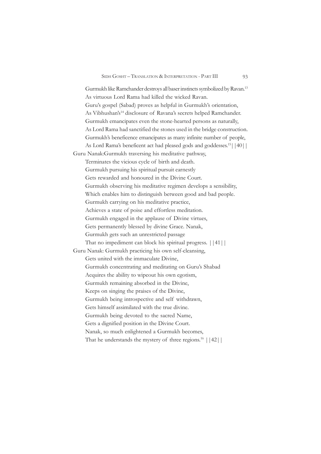Gurmukh like Ramchander destroys all baser instincts symbolized by Ravan.13 As virtuous Lord Rama had killed the wicked Ravan. Guru's gospel (Sabad) proves as helpful in Gurmukh's orientation, As Vibhushan's<sup>14</sup> disclosure of Ravana's secrets helped Ramchander. Gurmukh emancipates even the stone-hearted persons as naturally, As Lord Rama had sanctified the stones used in the bridge construction. Gurmukh's beneficence emancipates as many infinite number of people, As Lord Rama's beneficent act had pleased gods and goddesses.<sup>15</sup> | 40 | | Guru Nanak:Gurmukh traversing his meditative pathway, Terminates the vicious cycle of birth and death. Gurmukh pursuing his spiritual pursuit earnestly Gets rewarded and honoured in the Divine Court. Gurmukh observing his meditative regimen develops a sensibility, Which enables him to distinguish between good and bad people. Gurmukh carrying on his meditative practice, Achieves a state of poise and effortless meditation. Gurmukh engaged in the applause of Divine virtues, Gets permanently blessed by divine Grace. Nanak, Gurmukh gets such an unrestricted passage That no impediment can block his spiritual progress. ||41|| Guru Nanak: Gurmukh practicing his own self-cleansing, Gets united with the immaculate Divine, Gurmukh concentrating and meditating on Guru's Shabad Acquires the ability to wipeout his own egotism, Gurmukh remaining absorbed in the Divine, Keeps on singing the praises of the Divine, Gurmukh being introspective and self withdrawn, Gets himself assimilated with the true divine. Gurmukh being devoted to the sacred Name, Gets a dignified position in the Divine Court. Nanak, so much enlightened a Gurmukh becomes, That he understands the mystery of three regions.<sup>16</sup>  $|$  | 42| |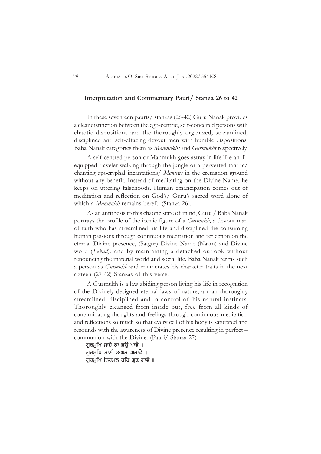#### **Interpretation and Commentary Pauri/ Stanza 26 to 42**

In these seventeen pauris/ stanzas (26-42) Guru Nanak provides a clear distinction between the ego-centric, self-conceited persons with chaotic dispositions and the thoroughly organized, streamlined, disciplined and self-effacing devout men with humble dispositions. Baba Nanak categories them as *Manmukhs* and *Gurmukhs* respectively.

A self-centred person or Manmukh goes astray in life like an illequipped traveler walking through the jungle or a perverted tantric/ chanting apocryphal incantations/ *Mantras* in the cremation ground without any benefit. Instead of meditating on the Divine Name, he keeps on uttering falsehoods. Human emancipation comes out of meditation and reflection on God's/ Guru's sacred word alone of which a *Manmukh* remains bereft. (Stanza 26).

As an antithesis to this chaotic state of mind, Guru / Baba Nanak portrays the profile of the iconic figure of a *Gurmukh*, a devout man of faith who has streamlined his life and disciplined the consuming human passions through continuous meditation and reflection on the eternal Divine presence, (Satgur) Divine Name (Naam) and Divine word (*Sabad*), and by maintaining a detached outlook without renouncing the material world and social life. Baba Nanak terms such a person as *Gurmukh* and enumerates his character traits in the next sixteen (27-42) Stanzas of this verse.

A Gurmukh is a law abiding person living his life in recognition of the Divinely designed eternal laws of nature, a man thoroughly streamlined, disciplined and in control of his natural instincts. Thoroughly cleansed from inside out, free from all kinds of contaminating thoughts and feelings through continuous meditation and reflections so much so that every cell of his body is saturated and resounds with the awareness of Divine presence resulting in perfect – communion with the Divine. (Pauri/ Stanza 27)

ਗਰਮਖਿ ਸਾਚੇ ਕਾ ਭੳ ਪਾਵੈ ॥ ਗਰਮਖਿ ਬਾਣੀ ਅਘੜ ਘੜਾਵੈ ॥ ਗੁਰਮੁਖਿ ਨਿਰਮਲ ਹਰਿ ਗੁਣ ਗਾਵੈ ॥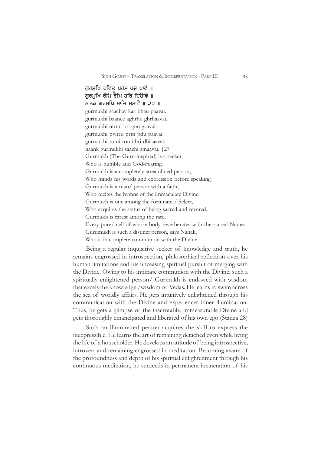ਗਰਮਖਿ ਪਵਿਤ ਪਰਮ ਪਦ ਪਾਵੈ ॥ ਗਰਮਖਿ ਰੋਮਿ ਰੋਮਿ ਹਰਿ ਦਿੳਾਵੇ ॥ ਨਾਨਕ ਗਰਮਖਿ ਸਾਚਿ ਸਮਾਵੈ ॥ ੨੭ ॥ gurmukhi saachay kaa bhau paavai. gurmukhi baanee aghrhu ghrhaavai. gurmukhi nirml hri gun gaavai. gurmukhi pvitru prm pdu paavai. gurmukhi romi romi hri dhiaaavai. naank gurmukhi saachi smaavai. |27| Gurmukh (The Guru-inspired) is a seeker, Who is humble and God-Fearing. Gurmukh is a completely streamlined person, Who minds his words and expression before speaking. Gurmukh is a man/ person with a faith, Who recites the hymns of the immaculate Divine. Gurmukh is one among the fortunate / Select, Who acquires the status of being sacred and revered. Gurmukh is rarest among the rare, Every pore/ cell of whose body reverberates with the sacred Name. Gurumukh is such a distinct person, says Nanak, Who is in complete communion with the Divine.

Being a regular inquisitive seeker of knowledge and truth, he remains engrossed in introspection, philosophical reflection over his human limitations and his unceasing spiritual pursuit of merging with the Divine. Owing to his intimate communion with the Divine, such a spiritually enlightened person/ Gurmukh is endowed with wisdom that excels the knowledge /wisdom of Vedas. He learns to swim across the sea of worldly affairs. He gets intuitively enlightened through his communication with the Divine and experiences inner illumination. Thus, he gets a glimpse of the inscrutable, immeasurable Divine and gets thoroughly emancipated and liberated of his own ego (Stanza 28)

Such an illuminated person acquires the skill to express the inexpressible. He learns the art of remaining detached even while living the life of a householder. He develops an attitude of being introspective, introvert and remaining engrossed in meditation. Becoming aware of the profoundness and depth of his spiritual enlightenment through his continuous meditation, he succeeds in permanent incineration of his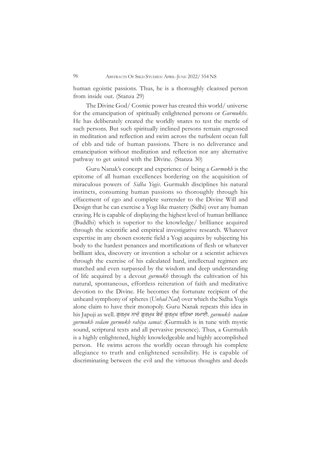human egoistic passions. Thus, he is a thoroughly cleansed person from inside out. (Stanza 29)

The Divine God/ Cosmic power has created this world/ universe for the emancipation of spiritually enlightened persons or *Gurmukhs*. He has deliberately created the worldly snares to test the mettle of such persons. But such spiritually inclined persons remain engrossed in meditation and reflection and swim across the turbulent ocean full of ebb and tide of human passions. There is no deliverance and emancipation without meditation and reflection nor any alternative pathway to get united with the Divine. (Stanza 30)

Guru Nanak's concept and experience of being a *Gurmukh* is the epitome of all human excellences bordering on the acquisition of miraculous powers of *Sidha Yogis*. Gurmukh disciplines his natural instincts, consuming human passions so thoroughly through his effacement of ego and complete surrender to the Divine Will and Design that he can exercise a Yogi like mastery (Sidhi) over any human craving. He is capable of displaying the highest level of human brilliance (Buddhi) which is superior to the knowledge/ brilliance acquired through the scientific and empirical investigative research. Whatever expertise in any chosen esoteric field a Yogi acquires by subjecting his body to the hardest penances and mortifications of flesh or whatever brilliant idea, discovery or invention a scholar or a scientist achieves through the exercise of his calculated hard, intellectual regimen are matched and even surpassed by the wisdom and deep understanding of life acquired by a devout *gurmukh* through the cultivation of his natural, spontaneous, effortless reiteration of faith and meditative devotion to the Divine. He becomes the fortunate recipient of the unheard symphony of spheres (*Unhad Nad*) over which the Sidha Yogis alone claim to have their monopoly. Guru Nanak repeats this idea in his Japuji as well. ਗੁਰਮੁਖ ਨਾਦੰ ਗੁਰਮੁਖ ਬੇਦੰ ਗੁਰਮੁਖ ਰਹਿਆ ਸਮਾਈ. *gurmukh nadam gurmukh vedam gurmukh rahiya samai: (*Gurmukh is in tune with mystic sound, scriptural texts and all pervasive presence). Thus, a Gurmukh is a highly enlightened, highly knowledgeable and highly accomplished person. He swims across the worldly ocean through his complete allegiance to truth and enlightened sensibility. He is capable of discriminating between the evil and the virtuous thoughts and deeds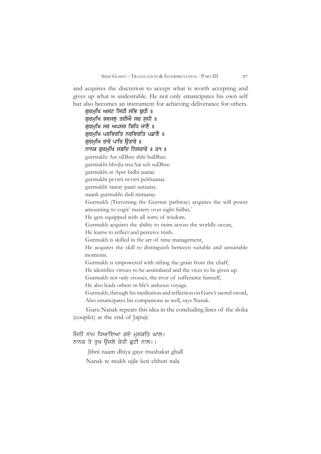and acquires the discretion to accept what is worth accepting and gives up what is undesirable. He not only emancipates his own self but also becomes an instrument for achieving deliverance for others.

ਗਰਮਖਿ ਅਸਟ ਸਿਧੀ ਸਭਿ ਬਧੀ ॥ ਗਰਮਖਿ ਭਵਜਲ ਤਰੀਐ ਸਚ ਸਧੀ ॥ ਗਰਮਖਿ ਸਰ ਅਪਸਰ ਬਿਧਿ ਜਾਣੈ ॥ ਗਰਮਖਿ ਪਰਵਿਰਤਿ ਨਰਵਿਰਤਿ ਪਛਾਣੈ ॥ ਗਰਮਖਿ ਤਾਰੇ ਪਾਰਿ ੳਤਾਰੇ ॥ ਨਾਨਕ ਗਰਮਖਿ ਸਬਦਿ ਨਿਸਤਾਰੇ ॥ ੩੧ ॥ gurmukhi Ast siDhee sbhi buDhee. gurmukhi bhvjlu treeAai sch suDhee. gurmukhi sr Apsr bidhi jaanai. gurmukhi prvirti nrvirti pchhaanai. gurmukhi taaray paari autaaray. naank gurmukhi sbdi nistaaray. Gurmukh (Traversing the Gurmat pathway) acquires the will power amounting to yogis' mastery over eight Sidhis,7 He gets equipped with all sorts of wisdom. Gurmukh acquires the ability to swim across the worldly ocean, He learns to reflect and perceive truth. Gurmukh is skilled in the art of time management, He acquires the skill to distinguish between suitable and unsuitable moments. Gurmukh is empowered with sifting the grain from the chaff, He identifies virtues to be assimilated and the vices to be given up. Gurmukh not only crosses, the river of sufferance himself, He also leads others in life's arduous voyage. Gurmukh, through his meditation and reflection on Guru's sacred sword, Also emancipates his companions as well, says Nanak.

Guru Nanak repeats this idea in the concluding lines of the sloka (couplet) at the end of Japuji:

## ਜਿਨੀ ਨਾਮ ਧਿਆਇਆ ਗਏ ਮਸਕਤਿ ਘਾਲ। ਨਾਨਕ ਤੇ ਤਖ ਉਜਲੇ ਕੇਤੀ ਛਟੀ ਨਾਲ।।

 Jihni naam dhiya gaye mushakat ghall Nanak te mukh ujjle keti chhuti nala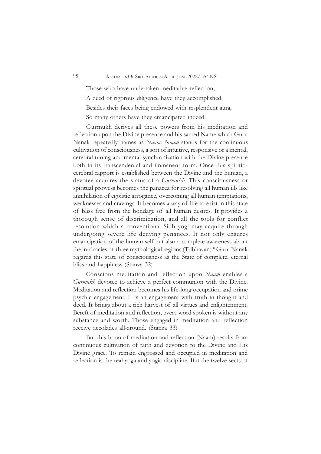Those who have undertaken meditative reflection, A deed of rigorous diligence have they accomplished. Besides their faces being endowed with resplendent aura, So many others have they emancipated indeed.

Gurmukh derives all these powers from his meditation and reflection upon the Divine presence and his sacred Name which Guru Nanak repeatedly names as *Naam*. *Naam* stands for the continuous cultivation of consciousness, a sort of intuitive, responsive or a mental, cerebral tuning and mental synchronization with the Divine presence both in its transcendental and immanent form. Once this spiritiocerebral rapport is established between the Divine and the human, a devotee acquires the status of a *Gurmukh*. This consciousness or spiritual prowess becomes the panacea for resolving all human ills like annihilation of egoistic arrogance, overcoming all human temptations, weaknesses and cravings. It becomes a way of life to exist in this state of bliss free from the bondage of all human desires. It provides a thorough sense of discrimination, and all the tools for conflict resolution which a conventional Sidh yogi may acquire through undergoing severe life denying penances. It not only ensures emancipation of the human self but also a complete awareness about the intricacies of three mythological regions (Tribhavan).<sup>8</sup> Guru Nanak regards this state of consciousness as the State of complete, eternal bliss and happiness (Stanza 32)

Conscious meditation and reflection upon *Naam* enables a *Gurmukh* devotee to achieve a perfect communion with the Divine. Meditation and reflection becomes his life-long occupation and prime psychic engagement. It is an engagement with truth in thought and deed. It brings about a rich harvest of all virtues and enlightenment. Bereft of meditation and reflection, every word spoken is without any substance and worth. Those engaged in meditation and reflection receive accolades all-around. (Stanza 33)

But this boon of meditation and reflection (Naam) results from continuous cultivation of faith and devotion to the Divine and His Divine grace. To remain engrossed and occupied in meditation and reflection is the real yoga and yogic discipline. But the twelve sects of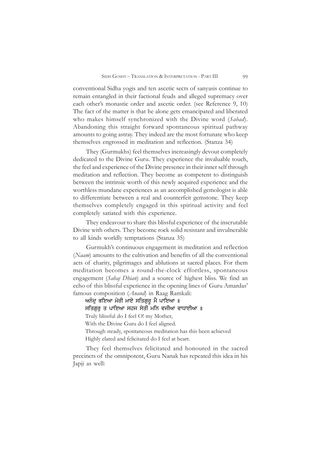conventional Sidha yogis and ten ascetic sects of sanyasis continue to remain entangled in their factional feuds and alleged supremacy over each other's monastic order and ascetic order. (see Reference 9, 10) The fact of the matter is that he alone gets emancipated and liberated who makes himself synchronized with the Divine word (*Sabad*). Abandoning this straight forward spontaneous spiritual pathway amounts to going astray. They indeed are the most fortunate who keep themselves engrossed in meditation and reflection. (Stanza 34)

They (Gurmukhs) feel themselves increasingly devout completely dedicated to the Divine Guru. They experience the invaluable touch, the feel and experience of the Divine presence in their inner self through meditation and reflection. They become as competent to distinguish between the intrinsic worth of this newly acquired experience and the worthless mundane experiences as an accomplished gemologist is able to differentiate between a real and counterfeit gemstone. They keep themselves completely engaged in this spiritual activity and feel completely satiated with this experience.

They endeavour to share this blissful experience of the inscrutable Divine with others. They become rock solid resistant and invulnerable to all kinds worldly temptations (Stanza 35)

Gurmukh's continuous engagement in meditation and reflection (*Naam*) amounts to the cultivation and benefits of all the conventional acts of charity, pilgrimages and ablutions at sacred places. For them meditation becomes a round-the-clock effortless, spontaneous engagement (*Sahaj Dhian*) and a source of highest bliss. We find an echo of this blissful experience in the opening lines of Guru Amardas' famous composition (*Anand*) in Raag Ramkali:

ਅਨੰਦੂ ਭਇਆ ਮੇਰੀ ਮਾਏ ਸਤਿਗਰ ਮੈ ਪਾਇਆ **॥** 

ਸਤਿਗੁਰੂ ਤ ਪਾਇਆ ਸਹਜ ਸੇਤੀ ਮਨਿ ਵਜੀਆ ਵਾਧਾਈਆ ॥

Truly blissful do I feel O! my Mother,

With the Divine Guru do I feel aligned.

Through steady, spontaneous meditation has this been achieved

Highly elated and felicitated do I feel at heart.

They feel themselves felicitated and honoured in the sacred precincts of the omnipotent, Guru Nanak has repeated this idea in his Japji as well: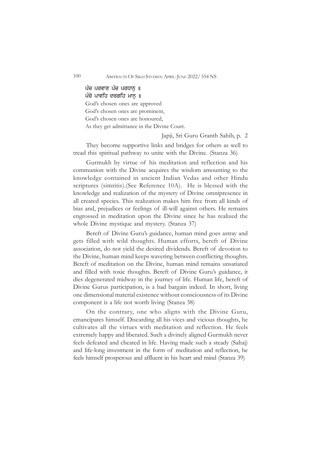## ਪੰਚ ਪਰਵਾਣ ਪੰਚ ਪਰਧਾਨ ॥ ਪੰਚੇ ਪਾਵਹਿ ਦਰਗਹਿ ਮਾਨ ॥ God's chosen ones are approved God's chosen ones are prominent,

God's chosen ones are honoured,

As they get admittance in the Divine Court.

#### Japji, Sri Guru Granth Sahib, p. 2

They become supportive links and bridges for others as well to tread this spiritual pathway to unite with the Divine. (Stanza 36)

Gurmukh by virtue of his meditation and reflection and his communion with the Divine acquires the wisdom amounting to the knowledge contained in ancient Indian Vedas and other Hindu scriptures (simritis).(See Reference 10A). He is blessed with the knowledge and realization of the mystery of Divine omnipresence in all created species. This realization makes him free from all kinds of bias and, prejudices or feelings of ill-will against others. He remains engrossed in meditation upon the Divine since he has realized the whole Divine mystique and mystery. (Stanza 37)

Bereft of Divine Guru's guidance, human mind goes astray and gets filled with wild thoughts. Human efforts, bereft of Divine association, do not yield the desired dividends. Bereft of devotion to the Divine, human mind keeps wavering between conflicting thoughts. Bereft of meditation on the Divine, human mind remains unsatiated and filled with toxic thoughts. Bereft of Divine Guru's guidance, it dies degenerated midway in the journey of life. Human life, bereft of Divine Gurus participation, is a bad bargain indeed. In short, living one dimensional material existence without consciousness of its Divine component is a life not worth living (Stanza 38)

On the contrary, one who aligns with the Divine Guru, emancipates himself. Discarding all his vices and vicious thoughts, he cultivates all the virtues with meditation and reflection. He feels extremely happy and liberated. Such a divinely aligned Gurmukh never feels defeated and cheated in life. Having made such a steady (Sahaj) and life-long investment in the form of meditation and reflection, he feels himself prosperous and affluent in his heart and mind (Stanza 39)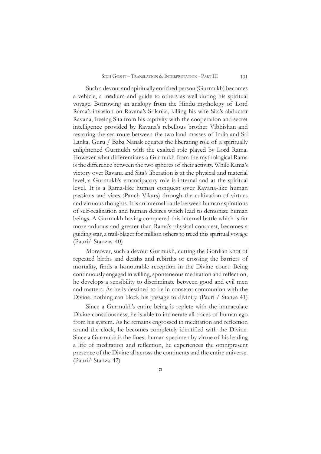Such a devout and spiritually enriched person (Gurmukh) becomes a vehicle, a medium and guide to others as well during his spiritual voyage. Borrowing an analogy from the Hindu mythology of Lord Rama's invasion on Ravana's Srilanka, killing his wife Sita's abductor Ravana, freeing Sita from his captivity with the cooperation and secret intelligence provided by Ravana's rebellous brother Vibhishan and restoring the sea route between the two land masses of India and Sri Lanka, Guru / Baba Nanak equates the liberating role of a spiritually enlightened Gurmukh with the exalted role played by Lord Rama. However what differentiates a Gurmukh from the mythological Rama is the difference between the two spheres of their activity. While Rama's victory over Ravana and Sita's liberation is at the physical and material level, a Gurmukh's emancipatory role is internal and at the spiritual level. It is a Rama-like human conquest over Ravana-like human passions and vices (Panch Vikars) through the cultivation of virtues and virtuous thoughts. It is an internal battle between human aspirations of self-realization and human desires which lead to demonize human beings. A Gurmukh having conquered this internal battle which is far more arduous and greater than Rama's physical conquest, becomes a guiding star, a trail-blazer for million others to treed this spiritual voyage (Pauri/ Stanzas 40)

Moreover, such a devout Gurmukh, cutting the Gordian knot of repeated births and deaths and rebirths or crossing the barriers of mortality, finds a honourable reception in the Divine court. Being continuously engaged in willing, spontaneous meditation and reflection, he develops a sensibility to discriminate between good and evil men and matters. As he is destined to be in constant communion with the Divine, nothing can block his passage to divinity. (Pauri / Stanza 41)

Since a Gurmukh's entire being is replete with the immaculate Divine consciousness, he is able to incinerate all traces of human ego from his system. As he remains engrossed in meditation and reflection round the clock, he becomes completely identified with the Divine. Since a Gurmukh is the finest human specimen by virtue of his leading a life of meditation and reflection, he experiences the omnipresent presence of the Divine all across the continents and the entire universe. (Pauri/ Stanza 42)